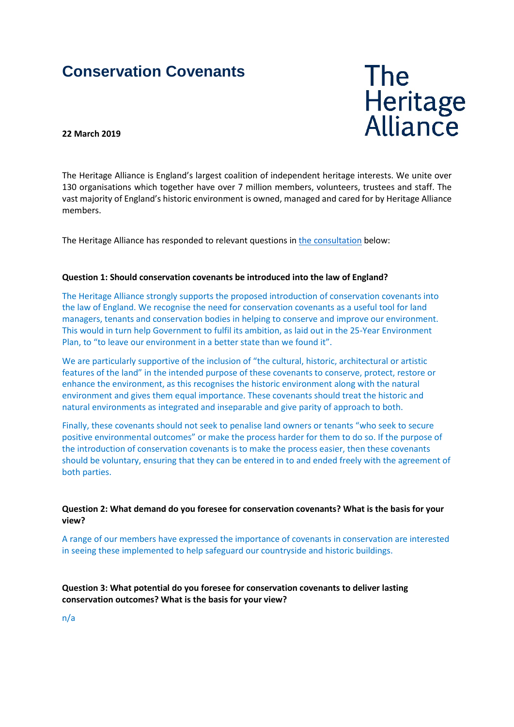# **Conservation Covenants**

**The** Heritage<br>Alliance

#### **22 March 2019**

The Heritage Alliance is England's largest coalition of independent heritage interests. We unite over 130 organisations which together have over 7 million members, volunteers, trustees and staff. The vast majority of England's historic environment is owned, managed and cared for by Heritage Alliance members.

The Heritage Alliance has responded to relevant questions in [the consultation](https://consult.defra.gov.uk/wildlife-management/conservation-covenants/supporting_documents/conservationcovenantsconsultdoc.pdf) below:

#### **Question 1: Should conservation covenants be introduced into the law of England?**

The Heritage Alliance strongly supports the proposed introduction of conservation covenants into the law of England. We recognise the need for conservation covenants as a useful tool for land managers, tenants and conservation bodies in helping to conserve and improve our environment. This would in turn help Government to fulfil its ambition, as laid out in the 25-Year Environment Plan, to "to leave our environment in a better state than we found it".

We are particularly supportive of the inclusion of "the cultural, historic, architectural or artistic features of the land" in the intended purpose of these covenants to conserve, protect, restore or enhance the environment, as this recognises the historic environment along with the natural environment and gives them equal importance. These covenants should treat the historic and natural environments as integrated and inseparable and give parity of approach to both.

Finally, these covenants should not seek to penalise land owners or tenants "who seek to secure positive environmental outcomes" or make the process harder for them to do so. If the purpose of the introduction of conservation covenants is to make the process easier, then these covenants should be voluntary, ensuring that they can be entered in to and ended freely with the agreement of both parties.

#### **Question 2: What demand do you foresee for conservation covenants? What is the basis for your view?**

A range of our members have expressed the importance of covenants in conservation are interested in seeing these implemented to help safeguard our countryside and historic buildings.

**Question 3: What potential do you foresee for conservation covenants to deliver lasting conservation outcomes? What is the basis for your view?**

n/a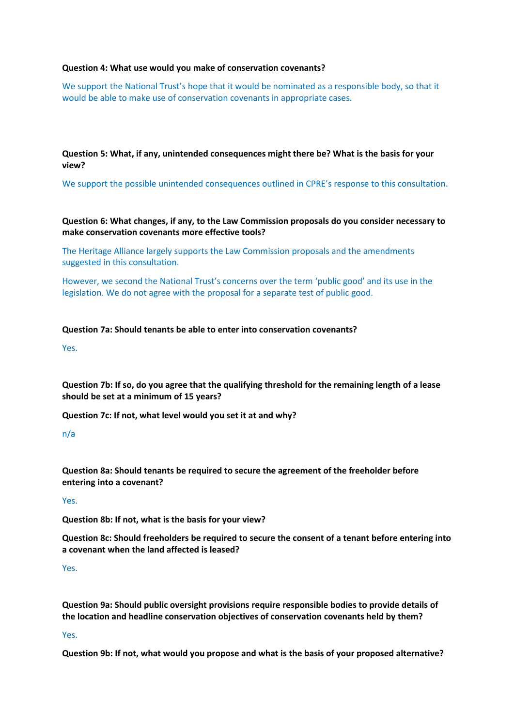#### **Question 4: What use would you make of conservation covenants?**

We support the National Trust's hope that it would be nominated as a responsible body, so that it would be able to make use of conservation covenants in appropriate cases.

**Question 5: What, if any, unintended consequences might there be? What is the basis for your view?**

We support the possible unintended consequences outlined in CPRE's response to this consultation.

## **Question 6: What changes, if any, to the Law Commission proposals do you consider necessary to make conservation covenants more effective tools?**

The Heritage Alliance largely supports the Law Commission proposals and the amendments suggested in this consultation.

However, we second the National Trust's concerns over the term 'public good' and its use in the legislation. We do not agree with the proposal for a separate test of public good.

## **Question 7a: Should tenants be able to enter into conservation covenants?**

Yes.

**Question 7b: If so, do you agree that the qualifying threshold for the remaining length of a lease should be set at a minimum of 15 years?**

**Question 7c: If not, what level would you set it at and why?**

## n/a

**Question 8a: Should tenants be required to secure the agreement of the freeholder before entering into a covenant?**

Yes.

**Question 8b: If not, what is the basis for your view?**

**Question 8c: Should freeholders be required to secure the consent of a tenant before entering into a covenant when the land affected is leased?**

#### Yes.

**Question 9a: Should public oversight provisions require responsible bodies to provide details of the location and headline conservation objectives of conservation covenants held by them?**

## Yes.

**Question 9b: If not, what would you propose and what is the basis of your proposed alternative?**